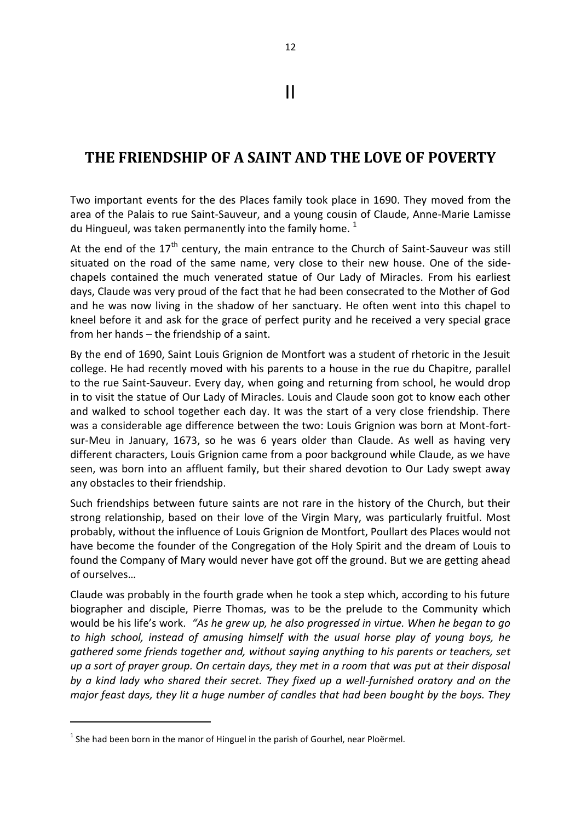II

## **THE FRIENDSHIP OF A SAINT AND THE LOVE OF POVERTY**

Two important events for the des Places family took place in 1690. They moved from the area of the Palais to rue Saint-Sauveur, and a young cousin of Claude, Anne-Marie Lamisse du Hingueul, was taken permanently into the family home.  $1$ 

At the end of the  $17<sup>th</sup>$  century, the main entrance to the Church of Saint-Sauveur was still situated on the road of the same name, very close to their new house. One of the sidechapels contained the much venerated statue of Our Lady of Miracles. From his earliest days, Claude was very proud of the fact that he had been consecrated to the Mother of God and he was now living in the shadow of her sanctuary. He often went into this chapel to kneel before it and ask for the grace of perfect purity and he received a very special grace from her hands – the friendship of a saint.

By the end of 1690, Saint Louis Grignion de Montfort was a student of rhetoric in the Jesuit college. He had recently moved with his parents to a house in the rue du Chapitre, parallel to the rue Saint-Sauveur. Every day, when going and returning from school, he would drop in to visit the statue of Our Lady of Miracles. Louis and Claude soon got to know each other and walked to school together each day. It was the start of a very close friendship. There was a considerable age difference between the two: Louis Grignion was born at Mont-fortsur-Meu in January, 1673, so he was 6 years older than Claude. As well as having very different characters, Louis Grignion came from a poor background while Claude, as we have seen, was born into an affluent family, but their shared devotion to Our Lady swept away any obstacles to their friendship.

Such friendships between future saints are not rare in the history of the Church, but their strong relationship, based on their love of the Virgin Mary, was particularly fruitful. Most probably, without the influence of Louis Grignion de Montfort, Poullart des Places would not have become the founder of the Congregation of the Holy Spirit and the dream of Louis to found the Company of Mary would never have got off the ground. But we are getting ahead of ourselves…

Claude was probably in the fourth grade when he took a step which, according to his future biographer and disciple, Pierre Thomas, was to be the prelude to the Community which would be his life's work. *"As he grew up, he also progressed in virtue. When he began to go to high school, instead of amusing himself with the usual horse play of young boys, he gathered some friends together and, without saying anything to his parents or teachers, set up a sort of prayer group. On certain days, they met in a room that was put at their disposal by a kind lady who shared their secret. They fixed up a well-furnished oratory and on the major feast days, they lit a huge number of candles that had been bought by the boys. They* 

**.** 

 $<sup>1</sup>$  She had been born in the manor of Hinguel in the parish of Gourhel, near Ploërmel.</sup>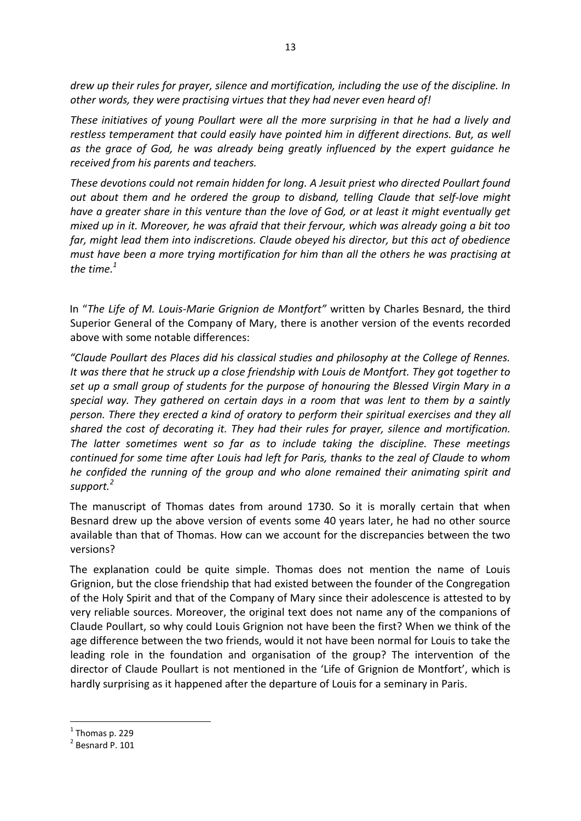*drew up their rules for prayer, silence and mortification, including the use of the discipline. In other words, they were practising virtues that they had never even heard of!* 

*These initiatives of young Poullart were all the more surprising in that he had a lively and restless temperament that could easily have pointed him in different directions. But, as well as the grace of God, he was already being greatly influenced by the expert guidance he received from his parents and teachers.* 

*These devotions could not remain hidden for long. A Jesuit priest who directed Poullart found out about them and he ordered the group to disband, telling Claude that self-love might have a greater share in this venture than the love of God, or at least it might eventually get mixed up in it. Moreover, he was afraid that their fervour, which was already going a bit too far, might lead them into indiscretions. Claude obeyed his director, but this act of obedience must have been a more trying mortification for him than all the others he was practising at*  the time. $^1$ 

In "*The Life of M. Louis-Marie Grignion de Montfort"* written by Charles Besnard, the third Superior General of the Company of Mary, there is another version of the events recorded above with some notable differences:

*"Claude Poullart des Places did his classical studies and philosophy at the College of Rennes. It was there that he struck up a close friendship with Louis de Montfort. They got together to set up a small group of students for the purpose of honouring the Blessed Virgin Mary in a special way. They gathered on certain days in a room that was lent to them by a saintly person. There they erected a kind of oratory to perform their spiritual exercises and they all shared the cost of decorating it. They had their rules for prayer, silence and mortification. The latter sometimes went so far as to include taking the discipline. These meetings continued for some time after Louis had left for Paris, thanks to the zeal of Claude to whom he confided the running of the group and who alone remained their animating spirit and support.<sup>2</sup>*

The manuscript of Thomas dates from around 1730. So it is morally certain that when Besnard drew up the above version of events some 40 years later, he had no other source available than that of Thomas. How can we account for the discrepancies between the two versions?

The explanation could be quite simple. Thomas does not mention the name of Louis Grignion, but the close friendship that had existed between the founder of the Congregation of the Holy Spirit and that of the Company of Mary since their adolescence is attested to by very reliable sources. Moreover, the original text does not name any of the companions of Claude Poullart, so why could Louis Grignion not have been the first? When we think of the age difference between the two friends, would it not have been normal for Louis to take the leading role in the foundation and organisation of the group? The intervention of the director of Claude Poullart is not mentioned in the 'Life of Grignion de Montfort', which is hardly surprising as it happened after the departure of Louis for a seminary in Paris.

1

 $<sup>1</sup>$  Thomas p. 229</sup>

 $2$  Besnard P. 101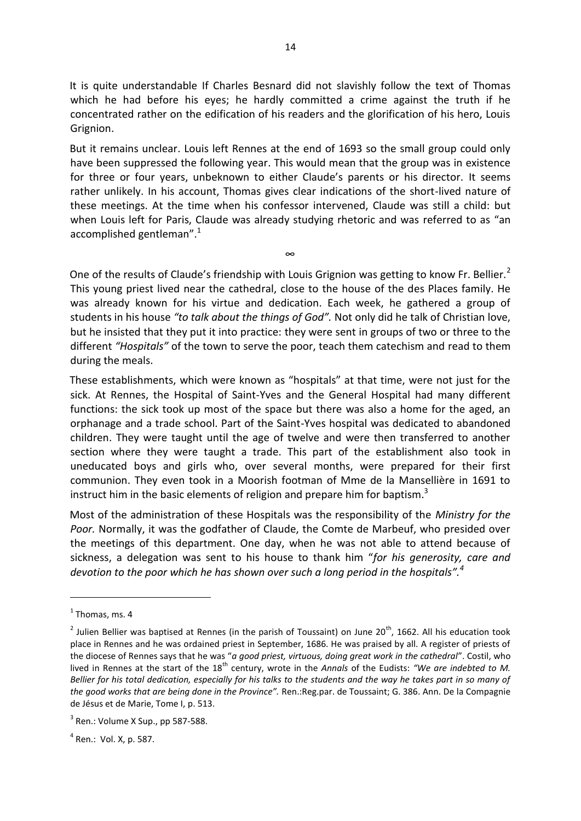It is quite understandable If Charles Besnard did not slavishly follow the text of Thomas which he had before his eyes; he hardly committed a crime against the truth if he concentrated rather on the edification of his readers and the glorification of his hero, Louis Grignion.

But it remains unclear. Louis left Rennes at the end of 1693 so the small group could only have been suppressed the following year. This would mean that the group was in existence for three or four years, unbeknown to either Claude's parents or his director. It seems rather unlikely. In his account, Thomas gives clear indications of the short-lived nature of these meetings. At the time when his confessor intervened, Claude was still a child: but when Louis left for Paris, Claude was already studying rhetoric and was referred to as "an accomplished gentleman".<sup>1</sup>

∞

One of the results of Claude's friendship with Louis Grignion was getting to know Fr. Bellier.<sup>2</sup> This young priest lived near the cathedral, close to the house of the des Places family. He was already known for his virtue and dedication. Each week, he gathered a group of students in his house *"to talk about the things of God".* Not only did he talk of Christian love, but he insisted that they put it into practice: they were sent in groups of two or three to the different *"Hospitals"* of the town to serve the poor, teach them catechism and read to them during the meals.

These establishments, which were known as "hospitals" at that time, were not just for the sick. At Rennes, the Hospital of Saint-Yves and the General Hospital had many different functions: the sick took up most of the space but there was also a home for the aged, an orphanage and a trade school. Part of the Saint-Yves hospital was dedicated to abandoned children. They were taught until the age of twelve and were then transferred to another section where they were taught a trade. This part of the establishment also took in uneducated boys and girls who, over several months, were prepared for their first communion. They even took in a Moorish footman of Mme de la Mansellière in 1691 to instruct him in the basic elements of religion and prepare him for baptism.<sup>3</sup>

Most of the administration of these Hospitals was the responsibility of the *Ministry for the Poor.* Normally, it was the godfather of Claude, the Comte de Marbeuf, who presided over the meetings of this department. One day, when he was not able to attend because of sickness, a delegation was sent to his house to thank him "*for his generosity, care and devotion to the poor which he has shown over such a long period in the hospitals".<sup>4</sup>* 

**.** 

 $<sup>1</sup>$  Thomas, ms. 4</sup>

<sup>&</sup>lt;sup>2</sup> Julien Bellier was baptised at Rennes (in the parish of Toussaint) on June 20<sup>th</sup>, 1662. All his education took place in Rennes and he was ordained priest in September, 1686. He was praised by all. A register of priests of the diocese of Rennes says that he was "*a good priest, virtuous, doing great work in the cathedral*". Costil, who lived in Rennes at the start of the 18<sup>th</sup> century, wrote in the *Annals* of the Eudists: "We are indebted to M. *Bellier for his total dedication, especially for his talks to the students and the way he takes part in so many of the good works that are being done in the Province".* Ren.:Reg.par. de Toussaint; G. 386. Ann. De la Compagnie de Jésus et de Marie, Tome I, p. 513.

 $3$  Ren.: Volume X Sup., pp 587-588.

 $<sup>4</sup>$  Ren.: Vol. X, p. 587.</sup>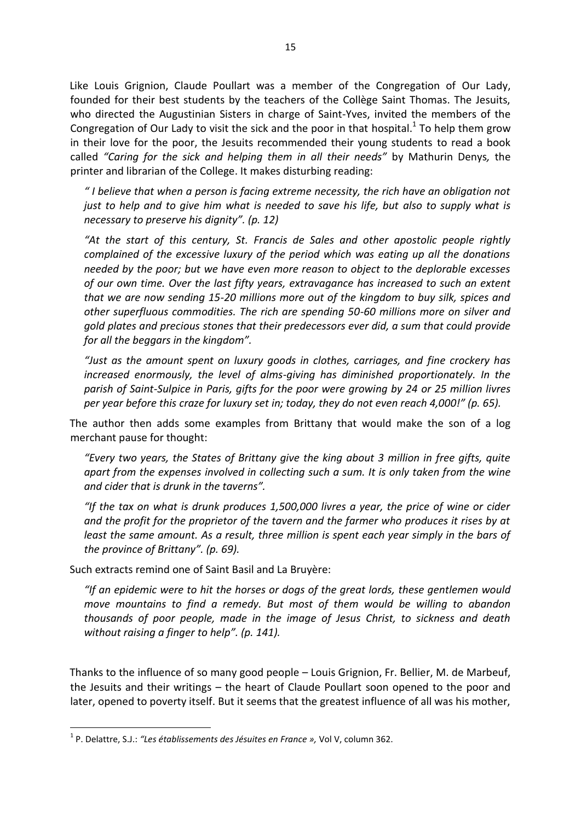Like Louis Grignion, Claude Poullart was a member of the Congregation of Our Lady, founded for their best students by the teachers of the Collège Saint Thomas. The Jesuits, who directed the Augustinian Sisters in charge of Saint-Yves, invited the members of the Congregation of Our Lady to visit the sick and the poor in that hospital. $1$  To help them grow in their love for the poor, the Jesuits recommended their young students to read a book called *"Caring for the sick and helping them in all their needs"* by Mathurin Denys*,* the printer and librarian of the College. It makes disturbing reading:

*" I believe that when a person is facing extreme necessity, the rich have an obligation not just to help and to give him what is needed to save his life, but also to supply what is necessary to preserve his dignity". (p. 12)* 

*"At the start of this century, St. Francis de Sales and other apostolic people rightly complained of the excessive luxury of the period which was eating up all the donations needed by the poor; but we have even more reason to object to the deplorable excesses of our own time. Over the last fifty years, extravagance has increased to such an extent that we are now sending 15-20 millions more out of the kingdom to buy silk, spices and other superfluous commodities. The rich are spending 50-60 millions more on silver and gold plates and precious stones that their predecessors ever did, a sum that could provide for all the beggars in the kingdom".* 

*"Just as the amount spent on luxury goods in clothes, carriages, and fine crockery has increased enormously, the level of alms-giving has diminished proportionately. In the parish of Saint-Sulpice in Paris, gifts for the poor were growing by 24 or 25 million livres per year before this craze for luxury set in; today, they do not even reach 4,000!" (p. 65).*

The author then adds some examples from Brittany that would make the son of a log merchant pause for thought:

*"Every two years, the States of Brittany give the king about 3 million in free gifts, quite apart from the expenses involved in collecting such a sum. It is only taken from the wine and cider that is drunk in the taverns".* 

*"If the tax on what is drunk produces 1,500,000 livres a year, the price of wine or cider and the profit for the proprietor of the tavern and the farmer who produces it rises by at least the same amount. As a result, three million is spent each year simply in the bars of the province of Brittany". (p. 69).*

Such extracts remind one of Saint Basil and La Bruyère:

**.** 

*"If an epidemic were to hit the horses or dogs of the great lords, these gentlemen would move mountains to find a remedy. But most of them would be willing to abandon thousands of poor people, made in the image of Jesus Christ, to sickness and death without raising a finger to help". (p. 141).*

Thanks to the influence of so many good people – Louis Grignion, Fr. Bellier, M. de Marbeuf, the Jesuits and their writings – the heart of Claude Poullart soon opened to the poor and later, opened to poverty itself. But it seems that the greatest influence of all was his mother,

<sup>1</sup> P. Delattre, S.J.: *"Les établissements des Jésuites en France »,* Vol V, column 362.